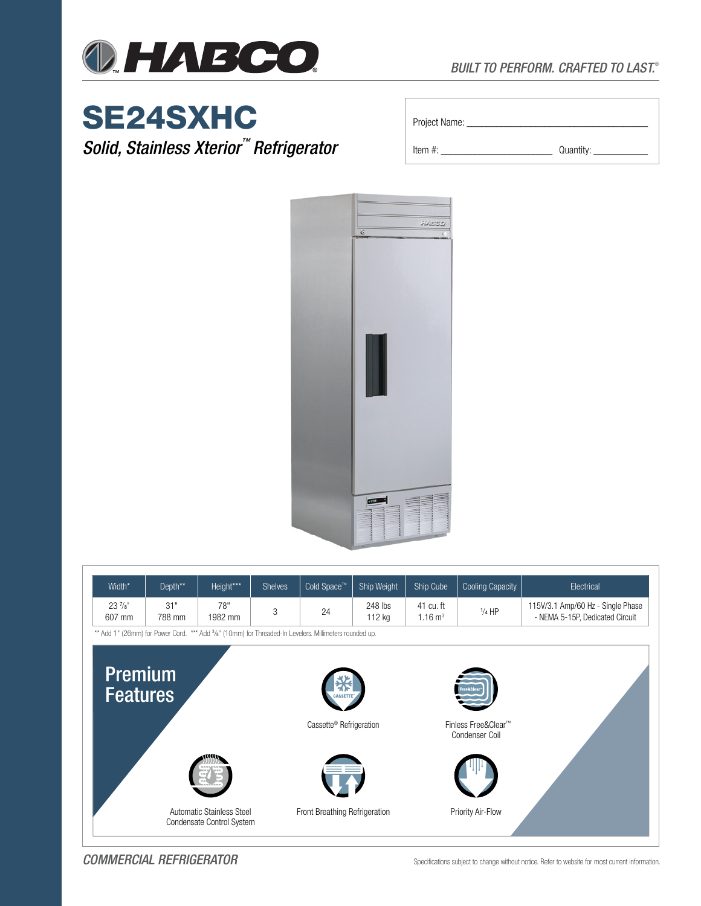

# SE24SXHC

*Solid, Stainless Xterior™ Refrigerator*

| Project Name: |           |
|---------------|-----------|
| Item $#$ :    | Quantity: |



| Width*                                                                                                              | Depth**       | Height***                                              | <b>Shelves</b>                      | Cold Space™                   | Ship Weight       | Ship Cube                             | <b>Cooling Capacity</b> | Electrical                                                           |  |  |
|---------------------------------------------------------------------------------------------------------------------|---------------|--------------------------------------------------------|-------------------------------------|-------------------------------|-------------------|---------------------------------------|-------------------------|----------------------------------------------------------------------|--|--|
| $23\frac{7}{8}$<br>607 mm                                                                                           | 31"<br>788 mm | 78"<br>1982 mm                                         | 3                                   | 24                            | 248 lbs<br>112 kg | 41 cu. ft<br>$1.16 \text{ m}^3$       | $1/4$ HP                | 115V/3.1 Amp/60 Hz - Single Phase<br>- NEMA 5-15P, Dedicated Circuit |  |  |
| ** Add 1" (26mm) for Power Cord. *** Add 3/ <sub>8</sub> " (10mm) for Threaded-In Levelers. Millimeters rounded up. |               |                                                        |                                     |                               |                   |                                       |                         |                                                                      |  |  |
| <b>Premium</b><br><b>Features</b>                                                                                   |               |                                                        | Cassette <sup>®</sup> Refrigeration |                               |                   | Finless Free&Clear™<br>Condenser Coil |                         |                                                                      |  |  |
|                                                                                                                     |               | Automatic Stainless Steel<br>Condensate Control System |                                     | Front Breathing Refrigeration |                   |                                       | Priority Air-Flow       |                                                                      |  |  |